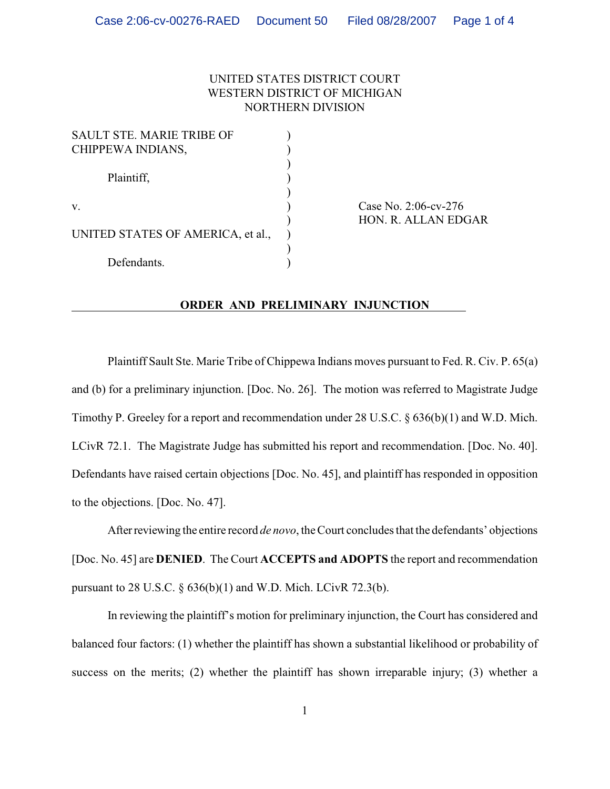## UNITED STATES DISTRICT COURT WESTERN DISTRICT OF MICHIGAN NORTHERN DIVISION

)

| <b>SAULT STE. MARIE TRIBE OF</b>  |  |
|-----------------------------------|--|
| CHIPPEWA INDIANS,                 |  |
|                                   |  |
| Plaintiff,                        |  |
|                                   |  |
| V.                                |  |
|                                   |  |
| UNITED STATES OF AMERICA, et al., |  |
|                                   |  |
| Defendants.                       |  |

Case No. 2:06-cv-276 ) HON. R. ALLAN EDGAR

## **ORDER AND PRELIMINARY INJUNCTION**

Plaintiff Sault Ste. Marie Tribe of Chippewa Indians moves pursuant to Fed. R. Civ. P. 65(a) and (b) for a preliminary injunction. [Doc. No. 26]. The motion was referred to Magistrate Judge Timothy P. Greeley for a report and recommendation under 28 U.S.C. § 636(b)(1) and W.D. Mich. LCivR 72.1. The Magistrate Judge has submitted his report and recommendation. [Doc. No. 40]. Defendants have raised certain objections [Doc. No. 45], and plaintiff has responded in opposition to the objections. [Doc. No. 47].

After reviewing the entire record *de novo*, the Court concludes that the defendants' objections [Doc. No. 45] are **DENIED**. The Court **ACCEPTS and ADOPTS** the report and recommendation pursuant to 28 U.S.C. § 636(b)(1) and W.D. Mich. LCivR 72.3(b).

In reviewing the plaintiff's motion for preliminary injunction, the Court has considered and balanced four factors: (1) whether the plaintiff has shown a substantial likelihood or probability of success on the merits; (2) whether the plaintiff has shown irreparable injury; (3) whether a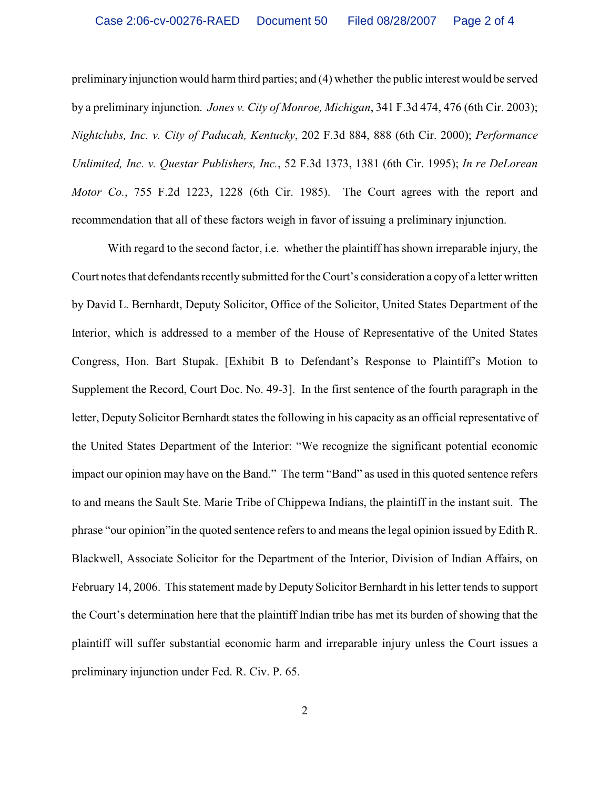preliminary injunction would harm third parties; and (4) whether the public interest would be served by a preliminary injunction. *Jones v. City of Monroe, Michigan*, 341 F.3d 474, 476 (6th Cir. 2003); *Nightclubs, Inc. v. City of Paducah, Kentucky*, 202 F.3d 884, 888 (6th Cir. 2000); *Performance Unlimited, Inc. v. Questar Publishers, Inc.*, 52 F.3d 1373, 1381 (6th Cir. 1995); *In re DeLorean Motor Co.*, 755 F.2d 1223, 1228 (6th Cir. 1985). The Court agrees with the report and recommendation that all of these factors weigh in favor of issuing a preliminary injunction.

With regard to the second factor, i.e. whether the plaintiff has shown irreparable injury, the Court notes that defendants recently submitted for the Court's consideration a copy of a letter written by David L. Bernhardt, Deputy Solicitor, Office of the Solicitor, United States Department of the Interior, which is addressed to a member of the House of Representative of the United States Congress, Hon. Bart Stupak. [Exhibit B to Defendant's Response to Plaintiff's Motion to Supplement the Record, Court Doc. No. 49-3]. In the first sentence of the fourth paragraph in the letter, Deputy Solicitor Bernhardt states the following in his capacity as an official representative of the United States Department of the Interior: "We recognize the significant potential economic impact our opinion may have on the Band." The term "Band" as used in this quoted sentence refers to and means the Sault Ste. Marie Tribe of Chippewa Indians, the plaintiff in the instant suit. The phrase "our opinion"in the quoted sentence refersto and means the legal opinion issued by Edith R. Blackwell, Associate Solicitor for the Department of the Interior, Division of Indian Affairs, on February 14, 2006. This statement made by Deputy Solicitor Bernhardt in his letter tends to support the Court's determination here that the plaintiff Indian tribe has met its burden of showing that the plaintiff will suffer substantial economic harm and irreparable injury unless the Court issues a preliminary injunction under Fed. R. Civ. P. 65.